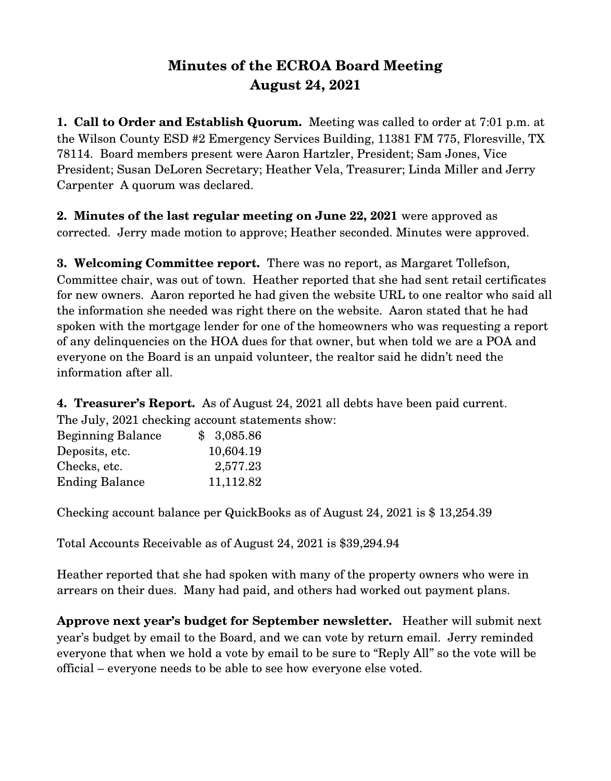## **Minutes of the ECROA Board Meeting August 24, 2021**

**1. Call to Order and Establish Quorum.** Meeting was called to order at 7:01 p.m. at the Wilson County ESD #2 Emergency Services Building, 11381 FM 775, Floresville, TX 78114. Board members present were Aaron Hartzler, President; Sam Jones, Vice President; Susan DeLoren Secretary; Heather Vela, Treasurer; Linda Miller and Jerry Carpenter A quorum was declared.

**2. Minutes of the last regular meeting on June 22, 2021** were approved as corrected. Jerry made motion to approve; Heather seconded. Minutes were approved.

**3. Welcoming Committee report.** There was no report, as Margaret Tollefson, Committee chair, was out of town. Heather reported that she had sent retail certificates for new owners. Aaron reported he had given the website URL to one realtor who said all the information she needed was right there on the website. Aaron stated that he had spoken with the mortgage lender for one of the homeowners who was requesting a report of any delinquencies on the HOA dues for that owner, but when told we are a POA and everyone on the Board is an unpaid volunteer, the realtor said he didn't need the information after all.

**4. Treasurer's Report.** As of August 24, 2021 all debts have been paid current. The July, 2021 checking account statements show:

| \$3,085.86 |
|------------|
| 10,604.19  |
| 2,577.23   |
| 11,112.82  |
|            |

Checking account balance per QuickBooks as of August 24, 2021 is \$ 13,254.39

Total Accounts Receivable as of August 24, 2021 is \$39,294.94

Heather reported that she had spoken with many of the property owners who were in arrears on their dues. Many had paid, and others had worked out payment plans.

**Approve next year's budget for September newsletter.** Heather will submit next year's budget by email to the Board, and we can vote by return email. Jerry reminded everyone that when we hold a vote by email to be sure to "Reply All" so the vote will be official – everyone needs to be able to see how everyone else voted.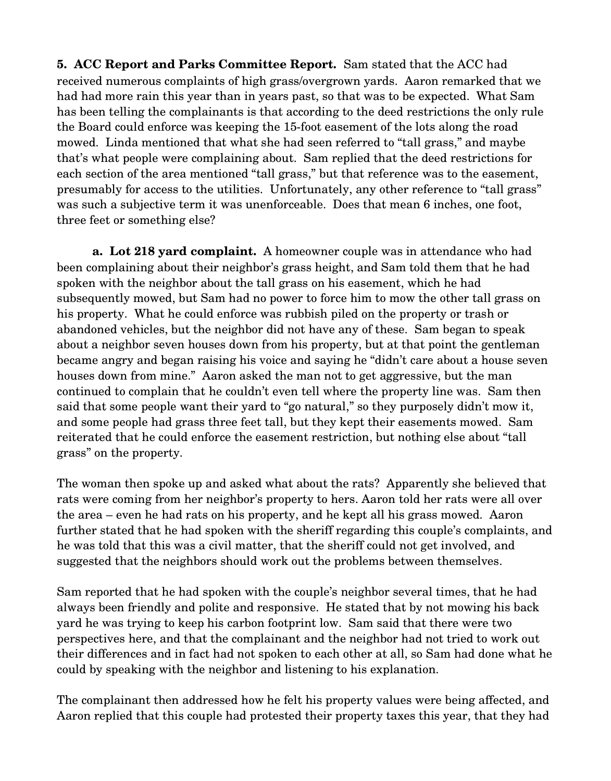**5. ACC Report and Parks Committee Report.** Sam stated that the ACC had received numerous complaints of high grass/overgrown yards. Aaron remarked that we had had more rain this year than in years past, so that was to be expected. What Sam has been telling the complainants is that according to the deed restrictions the only rule the Board could enforce was keeping the 15-foot easement of the lots along the road mowed. Linda mentioned that what she had seen referred to "tall grass," and maybe that's what people were complaining about. Sam replied that the deed restrictions for each section of the area mentioned "tall grass," but that reference was to the easement, presumably for access to the utilities. Unfortunately, any other reference to "tall grass" was such a subjective term it was unenforceable. Does that mean 6 inches, one foot, three feet or something else?

**a.** Lot 218 yard complaint. A homeowner couple was in attendance who had been complaining about their neighbor's grass height, and Sam told them that he had spoken with the neighbor about the tall grass on his easement, which he had subsequently mowed, but Sam had no power to force him to mow the other tall grass on his property. What he could enforce was rubbish piled on the property or trash or abandoned vehicles, but the neighbor did not have any of these. Sam began to speak about a neighbor seven houses down from his property, but at that point the gentleman became angry and began raising his voice and saying he "didn't care about a house seven houses down from mine." Aaron asked the man not to get aggressive, but the man continued to complain that he couldn't even tell where the property line was. Sam then said that some people want their yard to "go natural," so they purposely didn't mow it, and some people had grass three feet tall, but they kept their easements mowed. Sam reiterated that he could enforce the easement restriction, but nothing else about "tall grass" on the property.

The woman then spoke up and asked what about the rats? Apparently she believed that rats were coming from her neighbor's property to hers. Aaron told her rats were all over the area – even he had rats on his property, and he kept all his grass mowed. Aaron further stated that he had spoken with the sheriff regarding this couple's complaints, and he was told that this was a civil matter, that the sheriff could not get involved, and suggested that the neighbors should work out the problems between themselves.

Sam reported that he had spoken with the couple's neighbor several times, that he had always been friendly and polite and responsive. He stated that by not mowing his back yard he was trying to keep his carbon footprint low. Sam said that there were two perspectives here, and that the complainant and the neighbor had not tried to work out their differences and in fact had not spoken to each other at all, so Sam had done what he could by speaking with the neighbor and listening to his explanation.

The complainant then addressed how he felt his property values were being affected, and Aaron replied that this couple had protested their property taxes this year, that they had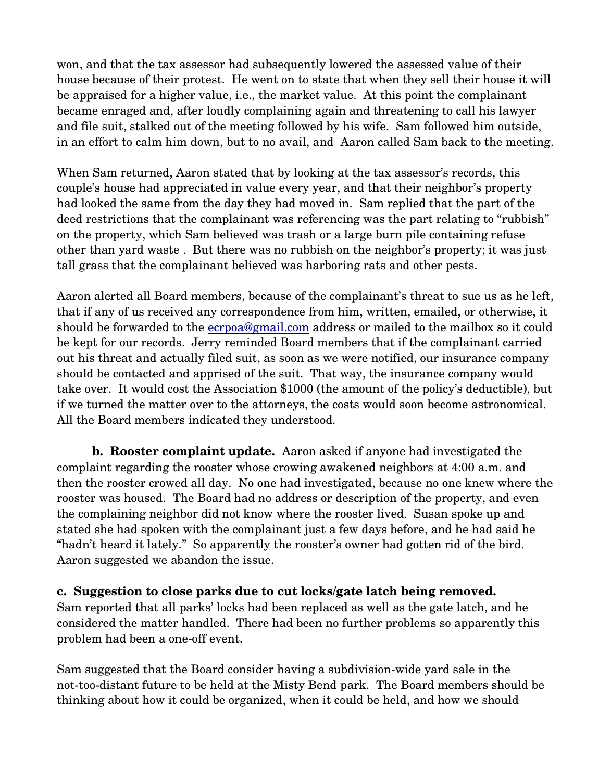won, and that the tax assessor had subsequently lowered the assessed value of their house because of their protest. He went on to state that when they sell their house it will be appraised for a higher value, i.e., the market value. At this point the complainant became enraged and, after loudly complaining again and threatening to call his lawyer and file suit, stalked out of the meeting followed by his wife. Sam followed him outside, in an effort to calm him down, but to no avail, and Aaron called Sam back to the meeting.

When Sam returned, Aaron stated that by looking at the tax assessor's records, this couple's house had appreciated in value every year, and that their neighbor's property had looked the same from the day they had moved in. Sam replied that the part of the deed restrictions that the complainant was referencing was the part relating to "rubbish" on the property, which Sam believed was trash or a large burn pile containing refuse other than yard waste . But there was no rubbish on the neighbor's property; it was just tall grass that the complainant believed was harboring rats and other pests.

Aaron alerted all Board members, because of the complainant's threat to sue us as he left, that if any of us received any correspondence from him, written, emailed, or otherwise, it should be forwarded to the ecrpoa@gmail.com address or mailed to the mailbox so it could be kept for our records. Jerry reminded Board members that if the complainant carried out his threat and actually filed suit, as soon as we were notified, our insurance company should be contacted and apprised of the suit. That way, the insurance company would take over. It would cost the Association \$1000 (the amount of the policy's deductible), but if we turned the matter over to the attorneys, the costs would soon become astronomical. All the Board members indicated they understood.

**b. Rooster complaint update.** Aaron asked if anyone had investigated the complaint regarding the rooster whose crowing awakened neighbors at 4:00 a.m. and then the rooster crowed all day. No one had investigated, because no one knew where the rooster was housed. The Board had no address or description of the property, and even the complaining neighbor did not know where the rooster lived. Susan spoke up and stated she had spoken with the complainant just a few days before, and he had said he "hadn't heard it lately." So apparently the rooster's owner had gotten rid of the bird. Aaron suggested we abandon the issue.

**c. Suggestion to close parks due to cut locks/gate latch being removed.** Sam reported that all parks' locks had been replaced as well as the gate latch, and he considered the matter handled. There had been no further problems so apparently this problem had been a one-off event.

Sam suggested that the Board consider having a subdivision-wide yard sale in the not-too-distant future to be held at the Misty Bend park. The Board members should be thinking about how it could be organized, when it could be held, and how we should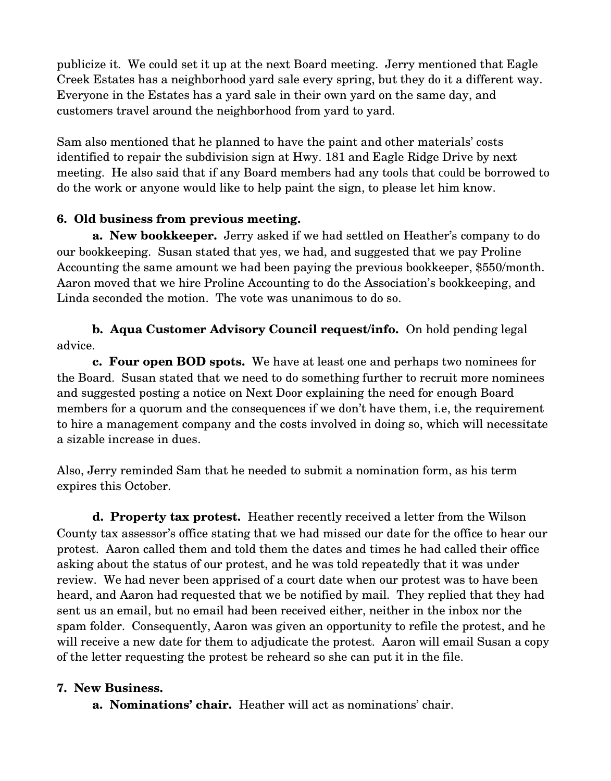publicize it. We could set it up at the next Board meeting. Jerry mentioned that Eagle Creek Estates has a neighborhood yard sale every spring, but they do it a different way. Everyone in the Estates has a yard sale in their own yard on the same day, and customers travel around the neighborhood from yard to yard.

Sam also mentioned that he planned to have the paint and other materials' costs identified to repair the subdivision sign at Hwy. 181 and Eagle Ridge Drive by next meeting. He also said that if any Board members had any tools that could be borrowed to do the work or anyone would like to help paint the sign, to please let him know.

## **6. Old business from previous meeting.**

**a. New bookkeeper.** Jerry asked if we had settled on Heather's company to do our bookkeeping. Susan stated that yes, we had, and suggested that we pay Proline Accounting the same amount we had been paying the previous bookkeeper, \$550/month. Aaron moved that we hire Proline Accounting to do the Association's bookkeeping, and Linda seconded the motion. The vote was unanimous to do so.

## **b. Aqua Customer Advisory Council request/info.** On hold pending legal advice.

**c. Four open BOD spots.** We have at least one and perhaps two nominees for the Board. Susan stated that we need to do something further to recruit more nominees and suggested posting a notice on Next Door explaining the need for enough Board members for a quorum and the consequences if we don't have them, i.e, the requirement to hire a management company and the costs involved in doing so, which will necessitate a sizable increase in dues.

Also, Jerry reminded Sam that he needed to submit a nomination form, as his term expires this October.

**d. Property tax protest.** Heather recently received a letter from the Wilson County tax assessor's office stating that we had missed our date for the office to hear our protest. Aaron called them and told them the dates and times he had called their office asking about the status of our protest, and he was told repeatedly that it was under review. We had never been apprised of a court date when our protest was to have been heard, and Aaron had requested that we be notified by mail. They replied that they had sent us an email, but no email had been received either, neither in the inbox nor the spam folder. Consequently, Aaron was given an opportunity to refile the protest, and he will receive a new date for them to adjudicate the protest. Aaron will email Susan a copy of the letter requesting the protest be reheard so she can put it in the file.

## **7. New Business.**

**a. Nominations' chair.** Heather will act as nominations' chair.